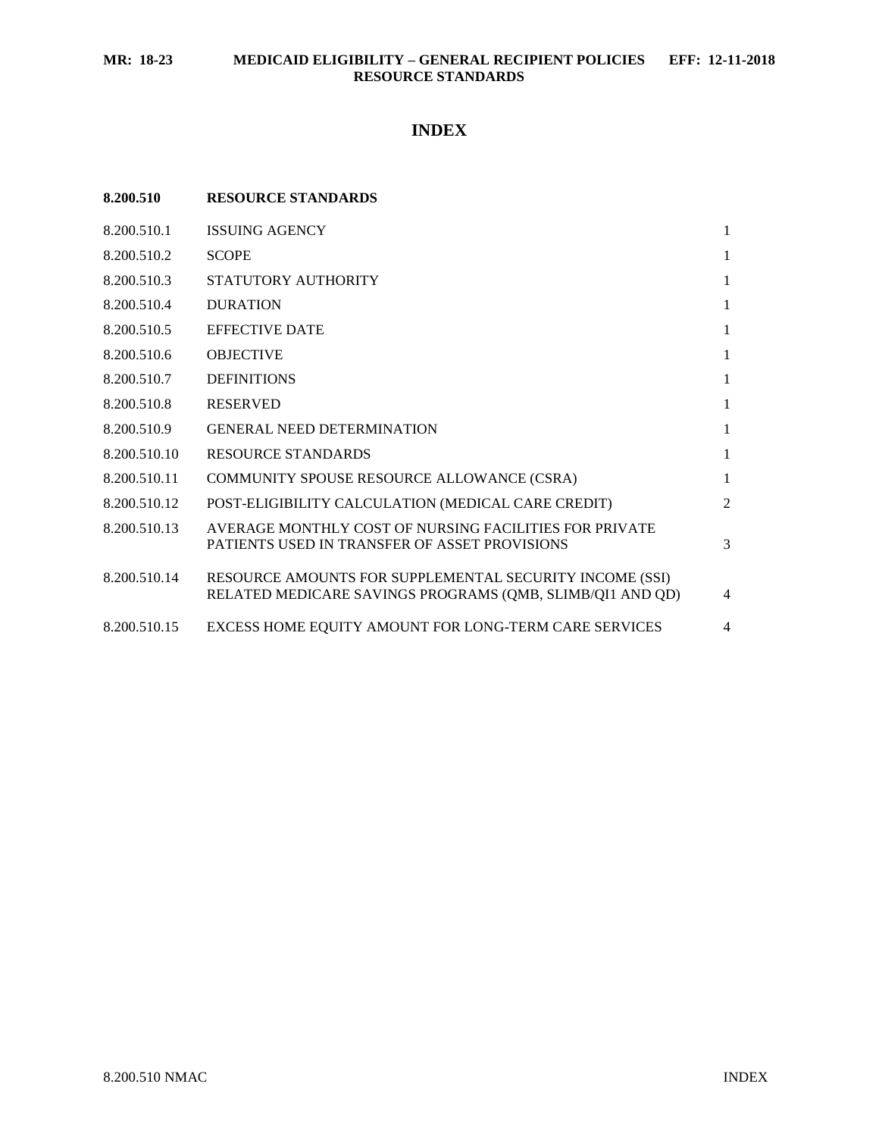## **INDEX**

| 8.200.510    | <b>RESOURCE STANDARDS</b>                                                                                            |                |
|--------------|----------------------------------------------------------------------------------------------------------------------|----------------|
| 8.200.510.1  | <b>ISSUING AGENCY</b>                                                                                                | $\mathbf{1}$   |
| 8.200.510.2  | <b>SCOPE</b>                                                                                                         | $\mathbf{1}$   |
| 8.200.510.3  | STATUTORY AUTHORITY                                                                                                  | $\mathbf{1}$   |
| 8.200.510.4  | <b>DURATION</b>                                                                                                      | $\mathbf{1}$   |
| 8.200.510.5  | <b>EFFECTIVE DATE</b>                                                                                                | $\mathbf{1}$   |
| 8.200.510.6  | <b>OBJECTIVE</b>                                                                                                     | $\mathbf{1}$   |
| 8.200.510.7  | <b>DEFINITIONS</b>                                                                                                   | $\mathbf{1}$   |
| 8.200.510.8  | <b>RESERVED</b>                                                                                                      | $\mathbf{1}$   |
| 8.200.510.9  | <b>GENERAL NEED DETERMINATION</b>                                                                                    | $\mathbf{1}$   |
| 8.200.510.10 | <b>RESOURCE STANDARDS</b>                                                                                            | $\mathbf{1}$   |
| 8.200.510.11 | COMMUNITY SPOUSE RESOURCE ALLOWANCE (CSRA)                                                                           | $\mathbf{1}$   |
| 8.200.510.12 | POST-ELIGIBILITY CALCULATION (MEDICAL CARE CREDIT)                                                                   | 2              |
| 8.200.510.13 | AVERAGE MONTHLY COST OF NURSING FACILITIES FOR PRIVATE<br>PATIENTS USED IN TRANSFER OF ASSET PROVISIONS              | 3              |
| 8.200.510.14 | RESOURCE AMOUNTS FOR SUPPLEMENTAL SECURITY INCOME (SSI)<br>RELATED MEDICARE SAVINGS PROGRAMS (QMB, SLIMB/QI1 AND QD) | $\overline{4}$ |
| 8.200.510.15 | EXCESS HOME EQUITY AMOUNT FOR LONG-TERM CARE SERVICES                                                                | 4              |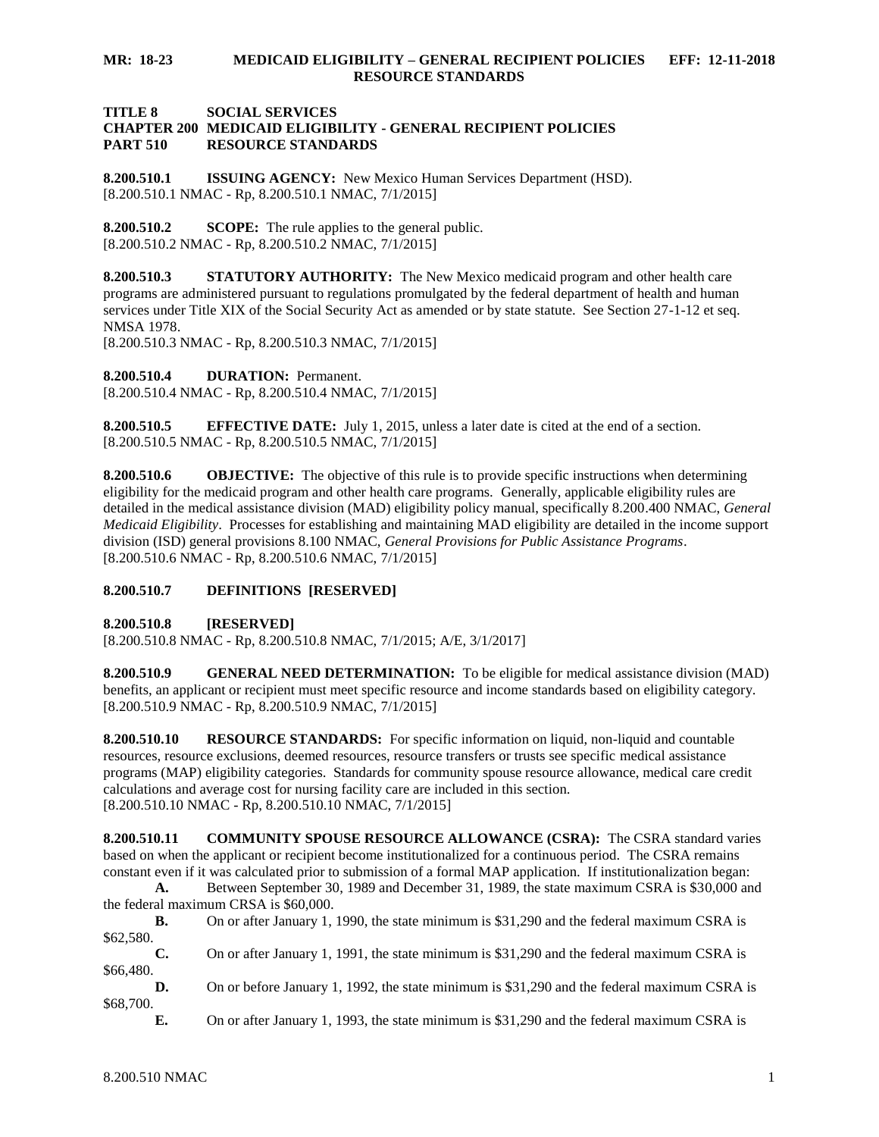#### **TITLE 8 SOCIAL SERVICES CHAPTER 200 MEDICAID ELIGIBILITY - GENERAL RECIPIENT POLICIES PART 510 RESOURCE STANDARDS**

<span id="page-1-0"></span>**8.200.510.1 ISSUING AGENCY:** New Mexico Human Services Department (HSD). [8.200.510.1 NMAC - Rp, 8.200.510.1 NMAC, 7/1/2015]

<span id="page-1-1"></span>**8.200.510.2 SCOPE:** The rule applies to the general public. [8.200.510.2 NMAC - Rp, 8.200.510.2 NMAC, 7/1/2015]

<span id="page-1-2"></span>**8.200.510.3 STATUTORY AUTHORITY:** The New Mexico medicaid program and other health care programs are administered pursuant to regulations promulgated by the federal department of health and human services under Title XIX of the Social Security Act as amended or by state statute. See Section 27-1-12 et seq. NMSA 1978.

[8.200.510.3 NMAC - Rp, 8.200.510.3 NMAC, 7/1/2015]

<span id="page-1-3"></span>**8.200.510.4 DURATION:** Permanent.

[8.200.510.4 NMAC - Rp, 8.200.510.4 NMAC, 7/1/2015]

<span id="page-1-4"></span>**8.200.510.5 EFFECTIVE DATE:** July 1, 2015, unless a later date is cited at the end of a section. [8.200.510.5 NMAC - Rp, 8.200.510.5 NMAC, 7/1/2015]

<span id="page-1-5"></span>**8.200.510.6 OBJECTIVE:** The objective of this rule is to provide specific instructions when determining eligibility for the medicaid program and other health care programs. Generally, applicable eligibility rules are detailed in the medical assistance division (MAD) eligibility policy manual, specifically 8.200.400 NMAC, *General Medicaid Eligibility*. Processes for establishing and maintaining MAD eligibility are detailed in the income support division (ISD) general provisions 8.100 NMAC, *General Provisions for Public Assistance Programs*. [8.200.510.6 NMAC - Rp, 8.200.510.6 NMAC, 7/1/2015]

## <span id="page-1-6"></span>**8.200.510.7 DEFINITIONS [RESERVED]**

<span id="page-1-7"></span>**8.200.510.8 [RESERVED]**

[8.200.510.8 NMAC - Rp, 8.200.510.8 NMAC, 7/1/2015; A/E, 3/1/2017]

<span id="page-1-8"></span>**8.200.510.9 GENERAL NEED DETERMINATION:** To be eligible for medical assistance division (MAD) benefits, an applicant or recipient must meet specific resource and income standards based on eligibility category. [8.200.510.9 NMAC - Rp, 8.200.510.9 NMAC, 7/1/2015]

<span id="page-1-9"></span>**8.200.510.10 RESOURCE STANDARDS:** For specific information on liquid, non-liquid and countable resources, resource exclusions, deemed resources, resource transfers or trusts see specific medical assistance programs (MAP) eligibility categories. Standards for community spouse resource allowance, medical care credit calculations and average cost for nursing facility care are included in this section. [8.200.510.10 NMAC - Rp, 8.200.510.10 NMAC, 7/1/2015]

<span id="page-1-10"></span>**8.200.510.11 COMMUNITY SPOUSE RESOURCE ALLOWANCE (CSRA):** The CSRA standard varies based on when the applicant or recipient become institutionalized for a continuous period. The CSRA remains constant even if it was calculated prior to submission of a formal MAP application. If institutionalization began:

**A.** Between September 30, 1989 and December 31, 1989, the state maximum CSRA is \$30,000 and the federal maximum CRSA is \$60,000.

**B.** On or after January 1, 1990, the state minimum is \$31,290 and the federal maximum CSRA is \$62,580.

**C.** On or after January 1, 1991, the state minimum is \$31,290 and the federal maximum CSRA is \$66,480.

**D.** On or before January 1, 1992, the state minimum is \$31,290 and the federal maximum CSRA is \$68,700.

**E.** On or after January 1, 1993, the state minimum is \$31,290 and the federal maximum CSRA is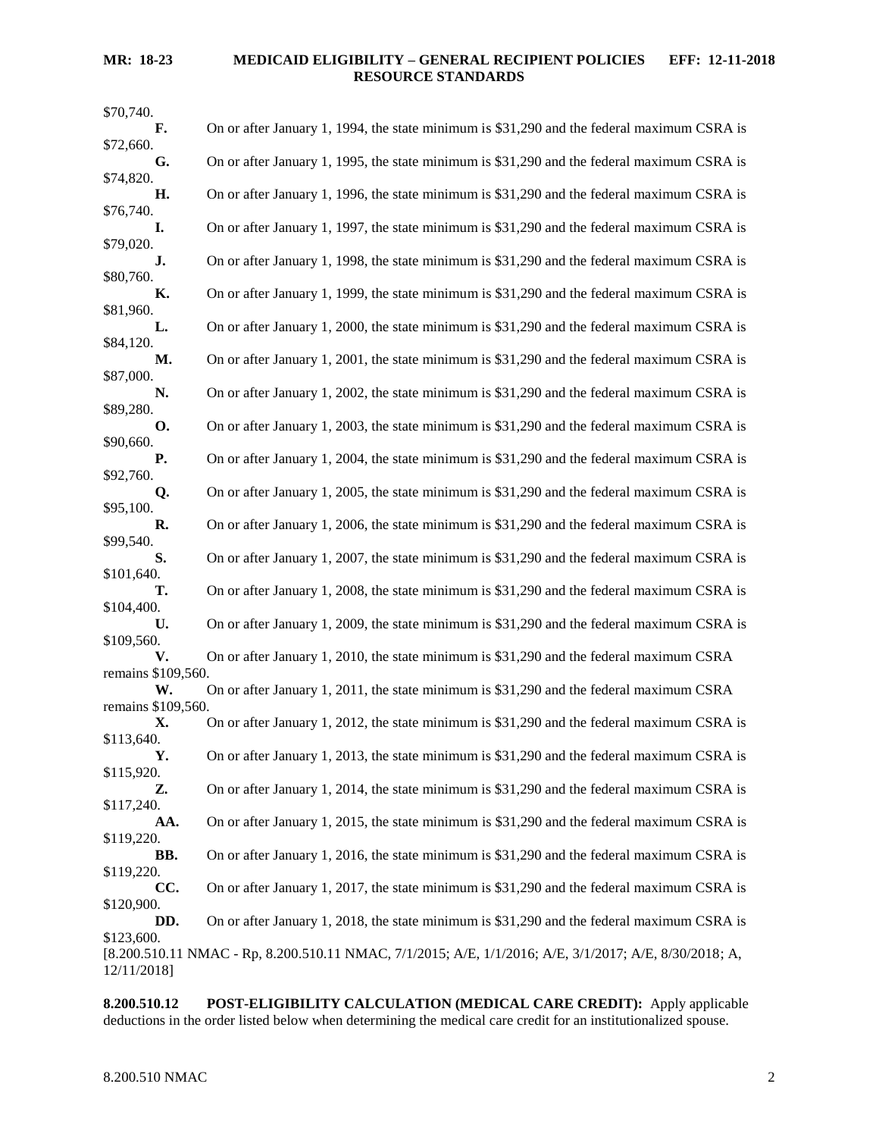| On or after January 1, 1994, the state minimum is \$31,290 and the federal maximum CSRA is                    |
|---------------------------------------------------------------------------------------------------------------|
| On or after January 1, 1995, the state minimum is \$31,290 and the federal maximum CSRA is                    |
|                                                                                                               |
| On or after January 1, 1996, the state minimum is \$31,290 and the federal maximum CSRA is                    |
| On or after January 1, 1997, the state minimum is \$31,290 and the federal maximum CSRA is                    |
| On or after January 1, 1998, the state minimum is \$31,290 and the federal maximum CSRA is                    |
| On or after January 1, 1999, the state minimum is \$31,290 and the federal maximum CSRA is                    |
|                                                                                                               |
| On or after January 1, 2000, the state minimum is \$31,290 and the federal maximum CSRA is                    |
| On or after January 1, 2001, the state minimum is \$31,290 and the federal maximum CSRA is                    |
| On or after January 1, 2002, the state minimum is \$31,290 and the federal maximum CSRA is                    |
| On or after January 1, 2003, the state minimum is \$31,290 and the federal maximum CSRA is                    |
| On or after January 1, 2004, the state minimum is \$31,290 and the federal maximum CSRA is                    |
| On or after January 1, 2005, the state minimum is \$31,290 and the federal maximum CSRA is                    |
|                                                                                                               |
| On or after January 1, 2006, the state minimum is \$31,290 and the federal maximum CSRA is                    |
| On or after January 1, 2007, the state minimum is \$31,290 and the federal maximum CSRA is                    |
| On or after January 1, 2008, the state minimum is \$31,290 and the federal maximum CSRA is                    |
| On or after January 1, 2009, the state minimum is \$31,290 and the federal maximum CSRA is                    |
| On or after January 1, 2010, the state minimum is \$31,290 and the federal maximum CSRA                       |
| remains \$109,560.<br>On or after January 1, 2011, the state minimum is \$31,290 and the federal maximum CSRA |
| remains \$109,560.                                                                                            |
| On or after January 1, 2012, the state minimum is \$31,290 and the federal maximum CSRA is                    |
| On or after January 1, 2013, the state minimum is \$31,290 and the federal maximum CSRA is                    |
| On or after January 1, 2014, the state minimum is \$31,290 and the federal maximum CSRA is                    |
| On or after January 1, 2015, the state minimum is \$31,290 and the federal maximum CSRA is                    |
|                                                                                                               |
| On or after January 1, 2016, the state minimum is \$31,290 and the federal maximum CSRA is                    |
| On or after January 1, 2017, the state minimum is \$31,290 and the federal maximum CSRA is                    |
| On or after January 1, 2018, the state minimum is \$31,290 and the federal maximum CSRA is                    |
| [8.200.510.11 NMAC - Rp, 8.200.510.11 NMAC, 7/1/2015; A/E, 1/1/2016; A/E, 3/1/2017; A/E, 8/30/2018; A,        |
|                                                                                                               |

<span id="page-2-0"></span>**8.200.510.12 POST-ELIGIBILITY CALCULATION (MEDICAL CARE CREDIT):** Apply applicable deductions in the order listed below when determining the medical care credit for an institutionalized spouse.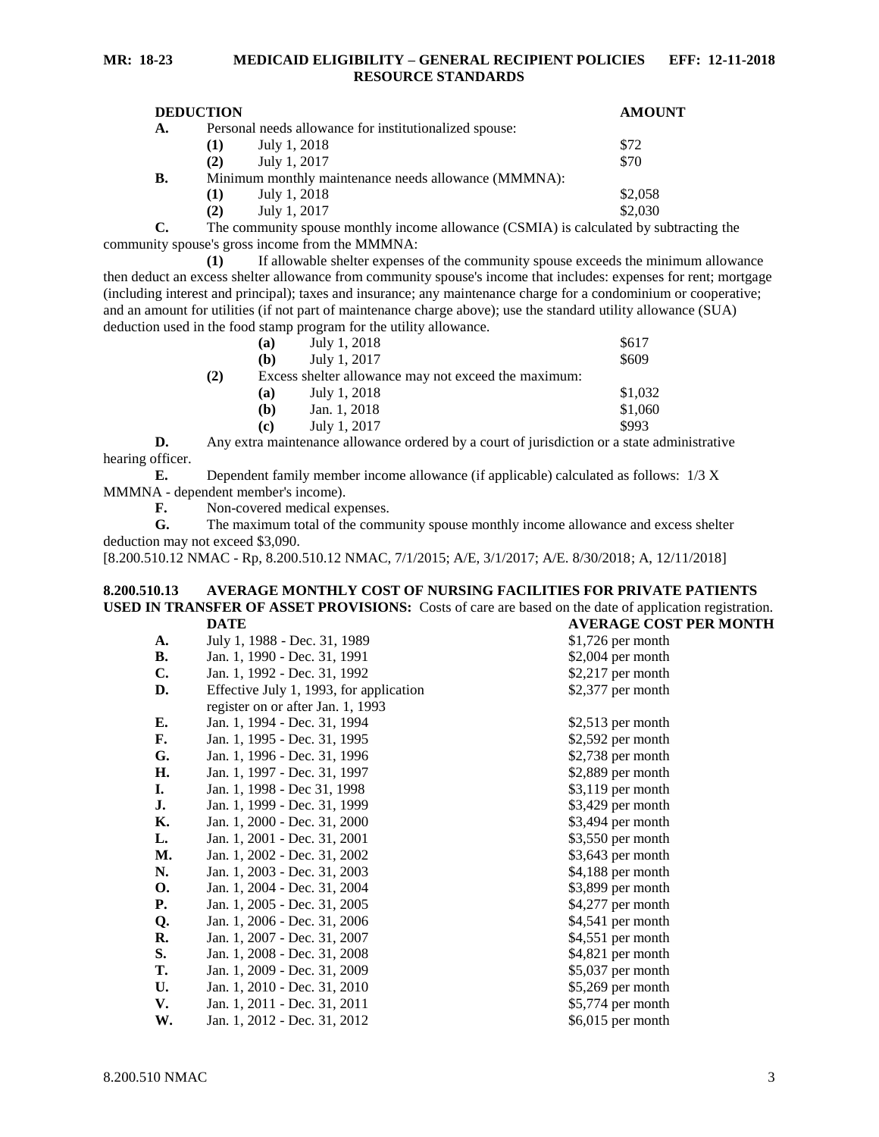| <b>DEDUCTION</b> |                                                        |              | <b>AMOUNT</b> |
|------------------|--------------------------------------------------------|--------------|---------------|
| A.               | Personal needs allowance for institutionalized spouse: |              |               |
|                  | (1)                                                    | July 1, 2018 | \$72          |
|                  | (2)                                                    | July 1, 2017 | \$70          |
| В.               | Minimum monthly maintenance needs allowance (MMMNA):   |              |               |
|                  | $\bf(1)$                                               | July 1, 2018 | \$2,058       |
|                  | (2)                                                    | July 1, 2017 | \$2,030       |

**C.** The community spouse monthly income allowance (CSMIA) is calculated by subtracting the community spouse's gross income from the MMMNA:

**(1)** If allowable shelter expenses of the community spouse exceeds the minimum allowance then deduct an excess shelter allowance from community spouse's income that includes: expenses for rent; mortgage (including interest and principal); taxes and insurance; any maintenance charge for a condominium or cooperative; and an amount for utilities (if not part of maintenance charge above); use the standard utility allowance (SUA) deduction used in the food stamp program for the utility allowance.

|     |                                                      | the root stamp program for the atm, and wanter. |         |
|-----|------------------------------------------------------|-------------------------------------------------|---------|
|     | (a)                                                  | July 1, 2018                                    | \$617   |
|     | (b)                                                  | July 1, 2017                                    | \$609   |
| (2) | Excess shelter allowance may not exceed the maximum: |                                                 |         |
|     | (a)                                                  | July 1, 2018                                    | \$1,032 |
|     | (b)                                                  | Jan. 1, 2018                                    | \$1,060 |
|     | (c)                                                  | July 1, 2017                                    | \$993   |

**D.** Any extra maintenance allowance ordered by a court of jurisdiction or a state administrative hearing officer.

**E.** Dependent family member income allowance (if applicable) calculated as follows: 1/3 X MMMNA - dependent member's income).

**F.** Non-covered medical expenses.

**G.** The maximum total of the community spouse monthly income allowance and excess shelter deduction may not exceed \$3,090.

[8.200.510.12 NMAC - Rp, 8.200.510.12 NMAC, 7/1/2015; A/E, 3/1/2017; A/E. 8/30/2018; A, 12/11/2018]

#### <span id="page-3-0"></span>**8.200.510.13 AVERAGE MONTHLY COST OF NURSING FACILITIES FOR PRIVATE PATIENTS USED IN TRANSFER OF ASSET PROVISIONS:** Costs of care are based on the date of application registration.<br>DATE AVERAGE COST PER MONTH **DATE AVERAGE COST PER MONTH**

|           |                                         | , LIVIVL CODI I    |
|-----------|-----------------------------------------|--------------------|
| A.        | July 1, 1988 - Dec. 31, 1989            | $$1,726$ per month |
| <b>B.</b> | Jan. 1, 1990 - Dec. 31, 1991            | $$2,004$ per month |
| C.        | Jan. 1, 1992 - Dec. 31, 1992            | $$2,217$ per month |
| D.        | Effective July 1, 1993, for application | \$2,377 per month  |
|           | register on or after Jan. 1, 1993       |                    |
| Е.        | Jan. 1, 1994 - Dec. 31, 1994            | $$2,513$ per month |
| F.        | Jan. 1, 1995 - Dec. 31, 1995            | $$2,592$ per month |
| G.        | Jan. 1, 1996 - Dec. 31, 1996            | $$2,738$ per month |
| Н.        | Jan. 1, 1997 - Dec. 31, 1997            | \$2,889 per month  |
| I.        | Jan. 1, 1998 - Dec 31, 1998             | \$3,119 per month  |
| J.        | Jan. 1, 1999 - Dec. 31, 1999            | \$3,429 per month  |
| Κ.        | Jan. 1, 2000 - Dec. 31, 2000            | \$3,494 per month  |
| L.        | Jan. 1, 2001 - Dec. 31, 2001            | \$3,550 per month  |
| М.        | Jan. 1, 2002 - Dec. 31, 2002            | \$3,643 per month  |
| N.        | Jan. 1, 2003 - Dec. 31, 2003            | \$4,188 per month  |
| О.        | Jan. 1, 2004 - Dec. 31, 2004            | \$3,899 per month  |
| Р.        | Jan. 1, 2005 - Dec. 31, 2005            | $$4,277$ per month |
| Q.        | Jan. 1, 2006 - Dec. 31, 2006            | \$4,541 per month  |
| R.        | Jan. 1, 2007 - Dec. 31, 2007            | \$4,551 per month  |
| S.        | Jan. 1, 2008 - Dec. 31, 2008            | \$4,821 per month  |
| T.        | Jan. 1, 2009 - Dec. 31, 2009            | \$5,037 per month  |
| U.        | Jan. 1, 2010 - Dec. 31, 2010            | \$5,269 per month  |
| V.        | Jan. 1, 2011 - Dec. 31, 2011            | \$5,774 per month  |
| W.        | Jan. 1, 2012 - Dec. 31, 2012            | \$6,015 per month  |